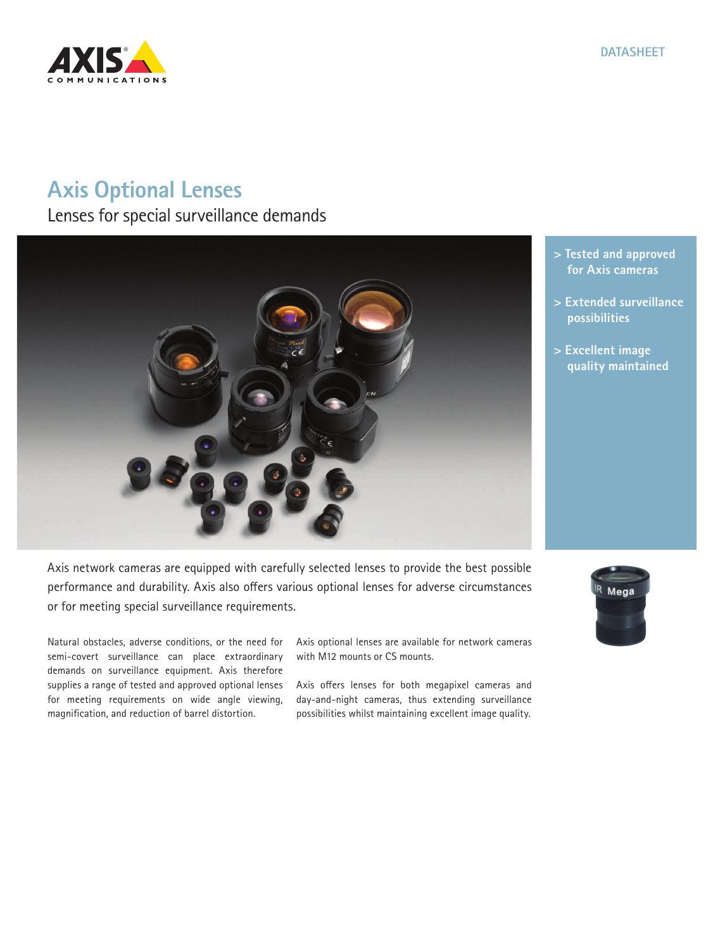

# **Axis Optional Lenses**

Lenses for special surveillance demands



- **> Tested and approved for Axis cameras**
- **> Extended surveillance possibilities**
- **> Excellent image quality maintained**

Axis network cameras are equipped with carefully selected lenses to provide the best possible performance and durability. Axis also offers various optional lenses for adverse circumstances or for meeting special surveillance requirements.

Natural obstacles, adverse conditions, or the need for semi-covert surveillance can place extraordinary demands on surveillance equipment. Axis therefore supplies a range of tested and approved optional lenses for meeting requirements on wide angle viewing, magnification, and reduction of barrel distortion.

Axis optional lenses are available for network cameras with M12 mounts or CS mounts.

Axis offers lenses for both megapixel cameras and day-and-night cameras, thus extending surveillance possibilities whilst maintaining excellent image quality.

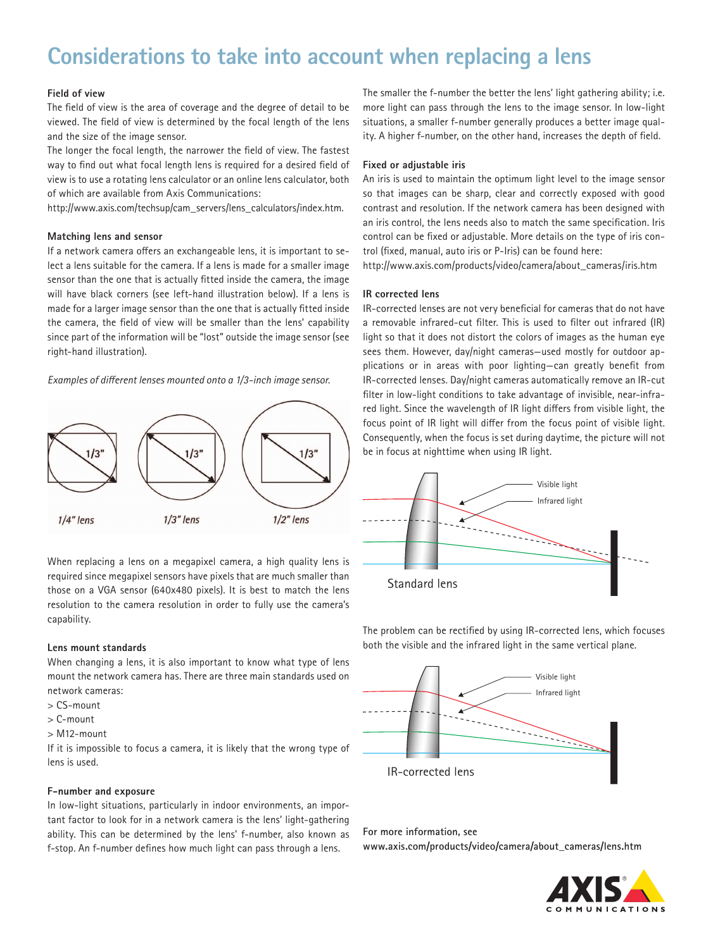# **Considerations to take into account when replacing a lens**

# **Field of view**

The field of view is the area of coverage and the degree of detail to be viewed. The field of view is determined by the focal length of the lens and the size of the image sensor.

The longer the focal length, the narrower the field of view. The fastest way to find out what focal length lens is required for a desired field of view is to use a rotating lens calculator or an online lens calculator, both of which are available from Axis Communications:

http://www.axis.com/techsup/cam\_servers/lens\_calculators/index.htm.

### **Matching lens and sensor**

If a network camera offers an exchangeable lens, it is important to select a lens suitable for the camera. If a lens is made for a smaller image sensor than the one that is actually fitted inside the camera, the image will have black corners (see left-hand illustration below). If a lens is made for a larger image sensor than the one that is actually fitted inside the camera, the field of view will be smaller than the lens' capability since part of the information will be "lost" outside the image sensor (see right-hand illustration).

*Examples of different lenses mounted onto a 1/3-inch image sensor.* 



When replacing a lens on a megapixel camera, a high quality lens is required since megapixel sensors have pixels that are much smaller than those on a VGA sensor (640x480 pixels). It is best to match the lens resolution to the camera resolution in order to fully use the camera's capability.

### **Lens mount standards**

When changing a lens, it is also important to know what type of lens mount the network camera has. There are three main standards used on network cameras:

- > CS-mount
- > C-mount
- > M12-mount

If it is impossible to focus a camera, it is likely that the wrong type of lens is used.

#### **F-number and exposure**

In low-light situations, particularly in indoor environments, an important factor to look for in a network camera is the lens' light-gathering ability. This can be determined by the lens' f-number, also known as f-stop. An f-number defines how much light can pass through a lens.

The smaller the f-number the better the lens' light gathering ability; i.e. more light can pass through the lens to the image sensor. In low-light situations, a smaller f-number generally produces a better image quality. A higher f-number, on the other hand, increases the depth of field.

### **Fixed or adjustable iris**

An iris is used to maintain the optimum light level to the image sensor so that images can be sharp, clear and correctly exposed with good contrast and resolution. If the network camera has been designed with an iris control, the lens needs also to match the same specification. Iris control can be fixed or adjustable. More details on the type of iris control (fixed, manual, auto iris or P-Iris) can be found here:

http://www.axis.com/products/video/camera/about\_cameras/iris.htm

## **IR corrected lens**

IR-corrected lenses are not very beneficial for cameras that do not have a removable infrared-cut filter. This is used to filter out infrared (IR) light so that it does not distort the colors of images as the human eye sees them. However, day/night cameras—used mostly for outdoor applications or in areas with poor lighting—can greatly benefit from IR-corrected lenses. Day/night cameras automatically remove an IR-cut filter in low-light conditions to take advantage of invisible, near-infrared light. Since the wavelength of IR light differs from visible light, the focus point of IR light will differ from the focus point of visible light. Consequently, when the focus is set during daytime, the picture will not be in focus at nighttime when using IR light.



The problem can be rectified by using IR-corrected lens, which focuses both the visible and the infrared light in the same vertical plane.



**For more information, see www.axis.com/products/video/camera/about\_cameras/lens.htm**

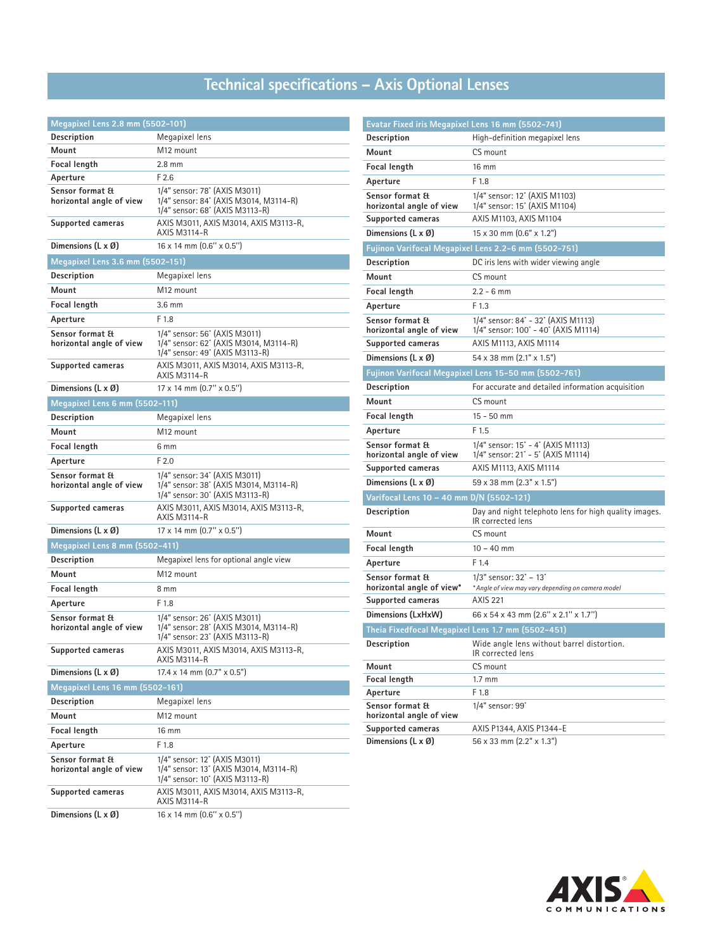# **Technical specifications – Axis Optional Lenses**

| Megapixel Lens 2.8 mm (5502-101)            |                                                                                                            |  |
|---------------------------------------------|------------------------------------------------------------------------------------------------------------|--|
| Description                                 | Megapixel lens                                                                                             |  |
| Mount                                       | M12 mount                                                                                                  |  |
| Focal length                                | $2.8 \text{ mm}$                                                                                           |  |
| Aperture                                    | F2.6                                                                                                       |  |
| Sensor format &<br>horizontal angle of view | 1/4" sensor: 78° (AXIS M3011)<br>1/4" sensor: 84° (AXIS M3014, M3114-R)<br>1/4" sensor: 68° (AXIS M3113-R) |  |
| Supported cameras                           | AXIS M3011, AXIS M3014, AXIS M3113-R,<br>AXIS M3114-R                                                      |  |
| Dimensions $(L \times \emptyset)$           | 16 x 14 mm (0.6" x 0.5")                                                                                   |  |
| Megapixel Lens 3.6 mm (5502-151)            |                                                                                                            |  |
| Description                                 | Megapixel lens                                                                                             |  |
| Mount                                       | M <sub>12</sub> mount                                                                                      |  |
| Focal length                                | $3.6 \text{ mm}$                                                                                           |  |
| Aperture                                    | F 1.8                                                                                                      |  |
| Sensor format &<br>horizontal angle of view | 1/4" sensor: 56° (AXIS M3011)<br>1/4" sensor: 62° (AXIS M3014, M3114-R)<br>1/4" sensor: 49° (AXIS M3113-R) |  |
| Supported cameras                           | AXIS M3011, AXIS M3014, AXIS M3113-R,<br>AXIS M3114-R                                                      |  |
| Dimensions $(L \times \emptyset)$           | $17 \times 14$ mm $(0.7'' \times 0.5'')$                                                                   |  |
| Megapixel Lens 6 mm (5502-111)              |                                                                                                            |  |
| Description                                 | Megapixel lens                                                                                             |  |
| Mount                                       | M12 mount                                                                                                  |  |
| <b>Focal length</b>                         | 6 mm                                                                                                       |  |
| Aperture                                    | F <sub>2.0</sub>                                                                                           |  |
| Sensor format &<br>horizontal angle of view | 1/4" sensor: 34° (AXIS M3011)<br>1/4" sensor: 38° (AXIS M3014, M3114-R)<br>1/4" sensor: 30° (AXIS M3113-R) |  |
| Supported cameras                           | AXIS M3011, AXIS M3014, AXIS M3113-R,<br><b>AXIS M3114-R</b>                                               |  |
| Dimensions $(L \times \emptyset)$           | 17 x 14 mm (0.7" x 0.5")                                                                                   |  |
| Megapixel Lens 8 mm (5502-411)              |                                                                                                            |  |
| Description                                 | Megapixel lens for optional angle view                                                                     |  |
| Mount                                       | M12 mount                                                                                                  |  |
| Focal length                                | 8 mm                                                                                                       |  |
| Aperture                                    | F 1.8                                                                                                      |  |
| Sensor format &<br>horizontal angle of view | 1/4" sensor: 26° (AXIS M3011)<br>1/4" sensor: 28° (AXIS M3014, M3114-R)<br>1/4" sensor: 23° (AXIS M3113-R) |  |
| Supported cameras                           | AXIS M3011, AXIS M3014, AXIS M3113-R,<br>AXIS M3114-R                                                      |  |
| Dimensions $(L \times \emptyset)$           | $17.4 \times 14$ mm $(0.7" \times 0.5")$                                                                   |  |
| Megapixel Lens 16 mm (5502-161)             |                                                                                                            |  |
| Description                                 | Megapixel lens                                                                                             |  |
| Mount                                       | M <sub>12</sub> mount                                                                                      |  |
| Focal length                                | 16 mm                                                                                                      |  |
| Aperture                                    | F 1.8                                                                                                      |  |
| Sensor format &<br>horizontal angle of view | 1/4" sensor: 12° (AXIS M3011)<br>1/4" sensor: 13° (AXIS M3014, M3114-R)<br>1/4" sensor: 10° (AXIS M3113-R) |  |
| Supported cameras                           | AXIS M3011, AXIS M3014, AXIS M3113-R,<br>AXIS M3114-R                                                      |  |
| Dimensions (L x Ø)                          | 16 x 14 mm (0.6" x 0.5")                                                                                   |  |

| Evatar Fixed iris Megapixel Lens 16 mm (5502-741)       |                                                                                             |
|---------------------------------------------------------|---------------------------------------------------------------------------------------------|
| <b>Description</b>                                      | High-definition megapixel lens                                                              |
| Mount                                                   | CS mount                                                                                    |
| <b>Focal length</b>                                     | 16 mm                                                                                       |
| Aperture                                                | F 1.8                                                                                       |
| Sensor format &<br>horizontal angle of view             | 1/4" sensor: 12° (AXIS M1103)<br>1/4" sensor: 15° (AXIS M1104)                              |
| Supported cameras                                       | AXIS M1103, AXIS M1104                                                                      |
| Dimensions $(L \times \emptyset)$                       | $15 \times 30$ mm $(0.6" \times 1.2")$                                                      |
|                                                         | Fujinon Varifocal Megapixel Lens 2.2-6 mm (5502-751)                                        |
| <b>Description</b>                                      | DC iris lens with wider viewing angle                                                       |
| Mount                                                   | CS mount                                                                                    |
| Focal length                                            | $2.2 - 6$ mm                                                                                |
| Aperture                                                | F 1.3                                                                                       |
| Sensor format &<br>horizontal angle of view             | 1/4" sensor: 84° - 32° (AXIS M1113)<br>1/4" sensor: 100° - 40° (AXIS M1114)                 |
| <b>Supported cameras</b>                                | AXIS M1113, AXIS M1114                                                                      |
| Dimensions $(L \times \emptyset)$                       | 54 x 38 mm (2.1" x 1.5")                                                                    |
|                                                         | Fujinon Varifocal Megapixel Lens 15-50 mm (5502-761)                                        |
| Description                                             | For accurate and detailed information acquisition                                           |
| Mount                                                   | CS mount                                                                                    |
| Focal length                                            | $15 - 50$ mm                                                                                |
| Aperture                                                | F 1.5                                                                                       |
| Sensor format &<br>horizontal angle of view             | 1/4" sensor: 15° - 4° (AXIS M1113)<br>1/4" sensor: 21° - 5° (AXIS M1114)                    |
| Supported cameras                                       | AXIS M1113, AXIS M1114                                                                      |
| Dimensions $(L \times \emptyset)$                       | $59 \times 38$ mm $(2.3" \times 1.5")$                                                      |
| Varifocal Lens 10 - 40 mm D/N (5502-121)                |                                                                                             |
| Description                                             | Day and night telephoto lens for high quality images.<br>IR corrected lens                  |
| Mount                                                   | CS mount                                                                                    |
| <b>Focal length</b>                                     | $10 - 40$ mm                                                                                |
| Aperture                                                | F 1.4                                                                                       |
| <b>Sensor format &amp;</b><br>horizontal angle of view* | $1/3$ " sensor: $32^\circ - 13^\circ$<br>* Angle of view may vary depending on camera model |
| Supported cameras                                       | <b>AXIS 221</b>                                                                             |
| Dimensions (LxHxW)                                      | 66 x 54 x 43 mm (2.6" x 2.1" x 1.7")                                                        |
| Theia Fixedfocal Megapixel Lens 1.7 mm (5502-451)       |                                                                                             |
| <b>Description</b>                                      | Wide angle lens without barrel distortion.<br>IR corrected lens                             |
| Mount                                                   | CS mount                                                                                    |
| Focal length                                            | $1.7 \text{ mm}$                                                                            |
| Aperture                                                | F 1.8                                                                                       |
| Sensor format &<br>horizontal angle of view             | 1/4" sensor: 99°                                                                            |
| Supported cameras                                       | AXIS P1344, AXIS P1344-E                                                                    |
| Dimensions $(L \times \emptyset)$                       | 56 x 33 mm (2.2" x 1.3")                                                                    |